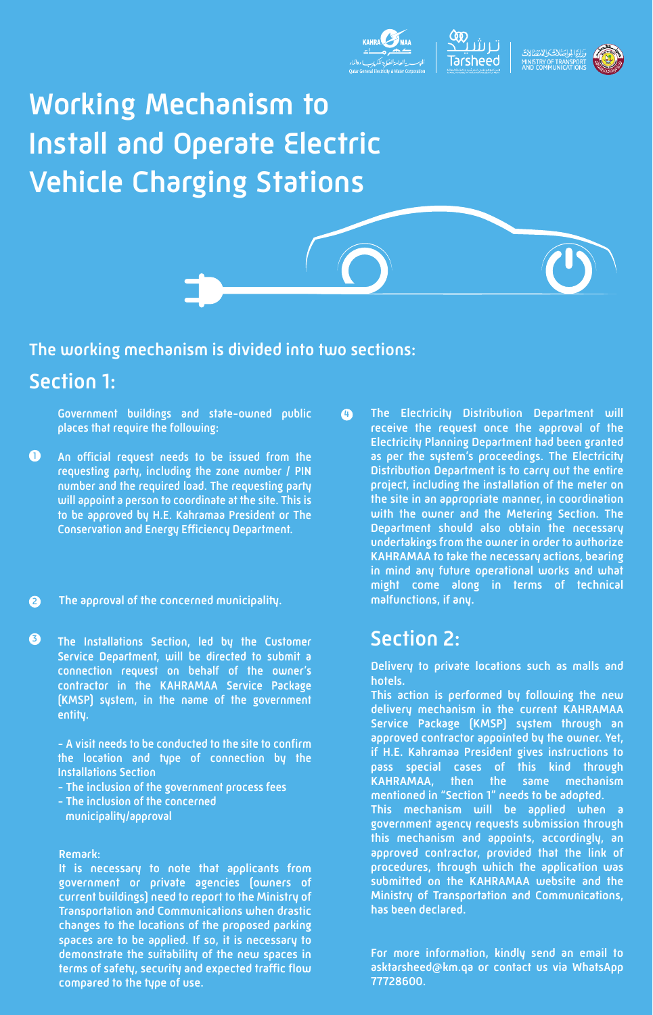

## **Working Mechanism to Install and Operate Electric Vehicle Charging Stations**



#### The working mechanism is divided into two sections:

### Section 1:

Government buildings and state-owned public places that require the following:

- An official request needs to be issued from the requesting party, including the zone number / PIN number and the required load. The requesting party will appoint a person to coordinate at the site. This is to be approved by H.E. Kahramaa President or The Conservation and Energy Efficiency Department. **1**
- **2** The approval of the concerned municipality.
- The Installations Section, led by the Customer Service Department, will be directed to submit a connection request on behalf of the owner's contractor in the KAHRAMAA Service Package (KMSP) system, in the name of the government entity. **3**

- A visit needs to be conducted to the site to confirm the location and type of connection by the Installations Section

- The inclusion of the government process fees
- The inclusion of the concerned municipality/approval

#### Remark:

It is necessary to note that applicants from government or private agencies (owners of current buildings) need to report to the Ministry of Transportation and Communications when drastic changes to the locations of the proposed parking spaces are to be applied. If so, it is necessary to demonstrate the suitability of the new spaces in terms of safety, security and expected traffic flow compared to the type of use.

The Electricity Distribution Department will receive the request once the approval of the Electricity Planning Department had been granted as per the system's proceedings. The Electricity Distribution Department is to carry out the entire project, including the installation of the meter on the site in an appropriate manner, in coordination with the owner and the Metering Section. The Department should also obtain the necessary undertakings from the owner in order to authorize KAHRAMAA to take the necessary actions, bearing in mind any future operational works and what might come along in terms of technical malfunctions, if any. **4**

#### Section 2:

Delivery to private locations such as malls and hotels.

This action is performed by following the new delivery mechanism in the current KAHRAMAA Service Package (KMSP) system through an approved contractor appointed by the owner. Yet, if H.E. Kahramaa President gives instructions to pass special cases of this kind through KAHRAMAA, then the same mechanism mentioned in "Section 1" needs to be adopted. This mechanism will be applied when a government agency requests submission through this mechanism and appoints, accordingly, an approved contractor, provided that the link of procedures, through which the application was submitted on the KAHRAMAA website and the Ministry of Transportation and Communications, has been declared.

For more information, kindly send an email to asktarsheed@km.qa or contact us via WhatsApp 77728600.